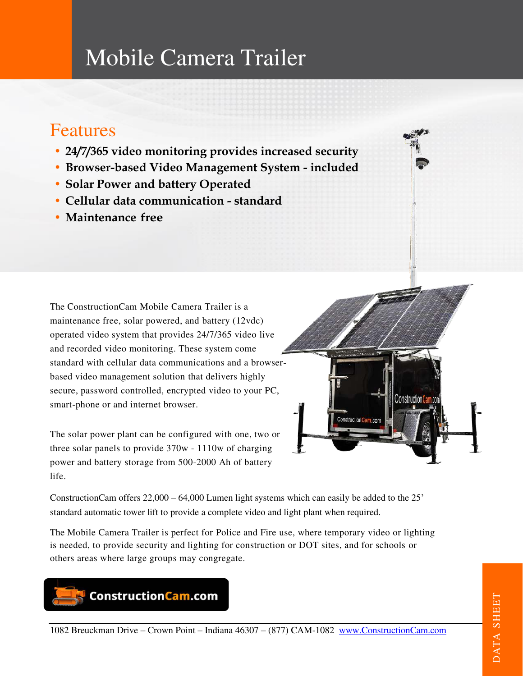# Mobile Camera Trailer

# Features

- **• 24/7/365 video monitoring provides increased security**
- **• Browser-based Video Management System included**
- **• Solar Power and battery Operated**
- **• Cellular data communication standard**
- **• Maintenance free**

The ConstructionCam Mobile Camera Trailer is a maintenance free, solar powered, and battery (12vdc) operated video system that provides 24/7/365 video live and recorded video monitoring. These system come standard with cellular data communications and a browserbased video management solution that delivers highly secure, password controlled, encrypted video to your PC, smart-phone or and internet browser.

The solar power plant can be configured with one, two or three solar panels to provide 370w - 1110w of charging power and battery storage from 500-2000 Ah of battery life.

ConstructionCam offers 22,000 – 64,000 Lumen light systems which can easily be added to the 25' standard automatic tower lift to provide a complete video and light plant when required.

The Mobile Camera Trailer is perfect for Police and Fire use, where temporary video or lighting is needed, to provide security and lighting for construction or DOT sites, and for schools or others areas where large groups may congregate.



**Construction Ca** 

ConstructionCa

 $m \cap n$